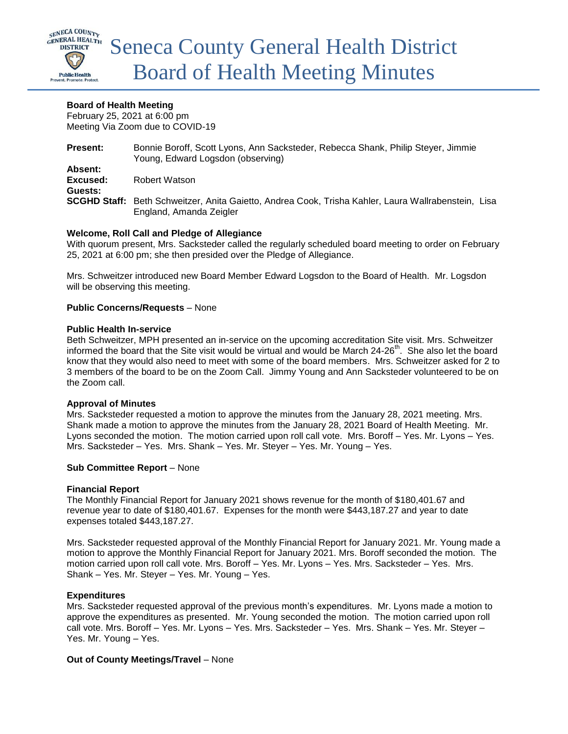

### **Board of Health Meeting**

February 25, 2021 at 6:00 pm Meeting Via Zoom due to COVID-19

| <b>Present:</b> | Bonnie Boroff, Scott Lyons, Ann Sacksteder, Rebecca Shank, Philip Steyer, Jimmie<br>Young, Edward Logsdon (observing)          |
|-----------------|--------------------------------------------------------------------------------------------------------------------------------|
| Absent:         |                                                                                                                                |
| Excused:        | Robert Watson                                                                                                                  |
| Guests:         |                                                                                                                                |
|                 | SCGHD Staff: Beth Schweitzer, Anita Gaietto, Andrea Cook, Trisha Kahler, Laura Wallrabenstein, Lisa<br>England, Amanda Zeigler |

# **Welcome, Roll Call and Pledge of Allegiance**

With quorum present, Mrs. Sacksteder called the regularly scheduled board meeting to order on February 25, 2021 at 6:00 pm; she then presided over the Pledge of Allegiance.

Mrs. Schweitzer introduced new Board Member Edward Logsdon to the Board of Health. Mr. Logsdon will be observing this meeting.

### **Public Concerns/Requests** – None

### **Public Health In-service**

Beth Schweitzer, MPH presented an in-service on the upcoming accreditation Site visit. Mrs. Schweitzer informed the board that the Site visit would be virtual and would be March 24-26<sup>th</sup>. She also let the board know that they would also need to meet with some of the board members. Mrs. Schweitzer asked for 2 to 3 members of the board to be on the Zoom Call. Jimmy Young and Ann Sacksteder volunteered to be on the Zoom call.

# **Approval of Minutes**

Mrs. Sacksteder requested a motion to approve the minutes from the January 28, 2021 meeting. Mrs. Shank made a motion to approve the minutes from the January 28, 2021 Board of Health Meeting. Mr. Lyons seconded the motion. The motion carried upon roll call vote. Mrs. Boroff – Yes. Mr. Lyons – Yes. Mrs. Sacksteder – Yes. Mrs. Shank – Yes. Mr. Steyer – Yes. Mr. Young – Yes.

# **Sub Committee Report** – None

### **Financial Report**

The Monthly Financial Report for January 2021 shows revenue for the month of \$180,401.67 and revenue year to date of \$180,401.67. Expenses for the month were \$443,187.27 and year to date expenses totaled \$443,187.27.

Mrs. Sacksteder requested approval of the Monthly Financial Report for January 2021. Mr. Young made a motion to approve the Monthly Financial Report for January 2021. Mrs. Boroff seconded the motion. The motion carried upon roll call vote. Mrs. Boroff – Yes. Mr. Lyons – Yes. Mrs. Sacksteder – Yes. Mrs. Shank – Yes. Mr. Steyer – Yes. Mr. Young – Yes.

# **Expenditures**

Mrs. Sacksteder requested approval of the previous month's expenditures. Mr. Lyons made a motion to approve the expenditures as presented. Mr. Young seconded the motion. The motion carried upon roll call vote. Mrs. Boroff – Yes. Mr. Lyons – Yes. Mrs. Sacksteder – Yes. Mrs. Shank – Yes. Mr. Steyer – Yes. Mr. Young – Yes.

# **Out of County Meetings/Travel** – None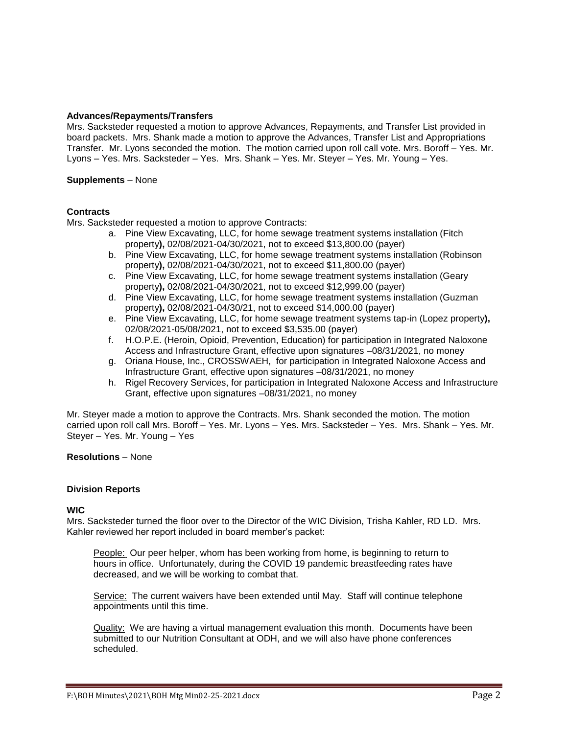### **Advances/Repayments/Transfers**

Mrs. Sacksteder requested a motion to approve Advances, Repayments, and Transfer List provided in board packets. Mrs. Shank made a motion to approve the Advances, Transfer List and Appropriations Transfer. Mr. Lyons seconded the motion. The motion carried upon roll call vote. Mrs. Boroff – Yes. Mr. Lyons – Yes. Mrs. Sacksteder – Yes. Mrs. Shank – Yes. Mr. Steyer – Yes. Mr. Young – Yes.

### **Supplements** – None

### **Contracts**

Mrs. Sacksteder requested a motion to approve Contracts:

- a. Pine View Excavating, LLC, for home sewage treatment systems installation (Fitch property**),** 02/08/2021-04/30/2021, not to exceed \$13,800.00 (payer)
- b. Pine View Excavating, LLC, for home sewage treatment systems installation (Robinson property**),** 02/08/2021-04/30/2021, not to exceed \$11,800.00 (payer)
- c. Pine View Excavating, LLC, for home sewage treatment systems installation (Geary property**),** 02/08/2021-04/30/2021, not to exceed \$12,999.00 (payer)
- d. Pine View Excavating, LLC, for home sewage treatment systems installation (Guzman property**),** 02/08/2021-04/30/21, not to exceed \$14,000.00 (payer)
- e. Pine View Excavating, LLC, for home sewage treatment systems tap-in (Lopez property**),**  02/08/2021-05/08/2021, not to exceed \$3,535.00 (payer)
- f. H.O.P.E. (Heroin, Opioid, Prevention, Education) for participation in Integrated Naloxone Access and Infrastructure Grant, effective upon signatures –08/31/2021, no money
- g. Oriana House, Inc., CROSSWAEH, for participation in Integrated Naloxone Access and Infrastructure Grant, effective upon signatures –08/31/2021, no money
- h. Rigel Recovery Services, for participation in Integrated Naloxone Access and Infrastructure Grant, effective upon signatures –08/31/2021, no money

Mr. Steyer made a motion to approve the Contracts. Mrs. Shank seconded the motion. The motion carried upon roll call Mrs. Boroff – Yes. Mr. Lyons – Yes. Mrs. Sacksteder – Yes. Mrs. Shank – Yes. Mr. Steyer – Yes. Mr. Young – Yes

### **Resolutions** – None

### **Division Reports**

### **WIC**

Mrs. Sacksteder turned the floor over to the Director of the WIC Division, Trisha Kahler, RD LD. Mrs. Kahler reviewed her report included in board member's packet:

People: Our peer helper, whom has been working from home, is beginning to return to hours in office. Unfortunately, during the COVID 19 pandemic breastfeeding rates have decreased, and we will be working to combat that.

Service: The current waivers have been extended until May. Staff will continue telephone appointments until this time.

Quality: We are having a virtual management evaluation this month. Documents have been submitted to our Nutrition Consultant at ODH, and we will also have phone conferences scheduled.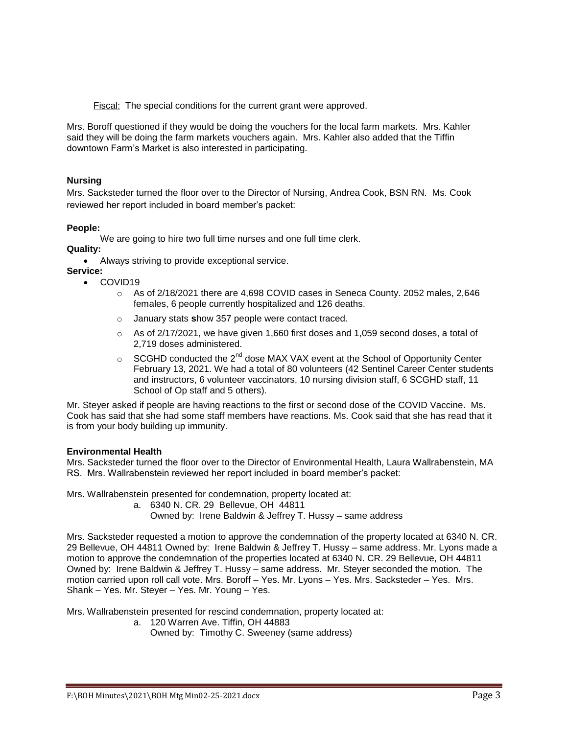Fiscal: The special conditions for the current grant were approved.

Mrs. Boroff questioned if they would be doing the vouchers for the local farm markets. Mrs. Kahler said they will be doing the farm markets vouchers again. Mrs. Kahler also added that the Tiffin downtown Farm's Market is also interested in participating.

### **Nursing**

Mrs. Sacksteder turned the floor over to the Director of Nursing, Andrea Cook, BSN RN. Ms. Cook reviewed her report included in board member's packet:

### **People:**

We are going to hire two full time nurses and one full time clerk.

**Quality:** 

- Always striving to provide exceptional service.
- **Service:**  • COVID19
	- o As of 2/18/2021 there are 4,698 COVID cases in Seneca County. 2052 males, 2,646 females, 6 people currently hospitalized and 126 deaths.
	- o January stats **s**how 357 people were contact traced.
	- $\circ$  As of 2/17/2021, we have given 1,660 first doses and 1,059 second doses, a total of 2,719 doses administered.
	- $\circ$  SCGHD conducted the 2<sup>nd</sup> dose MAX VAX event at the School of Opportunity Center February 13, 2021. We had a total of 80 volunteers (42 Sentinel Career Center students and instructors, 6 volunteer vaccinators, 10 nursing division staff, 6 SCGHD staff, 11 School of Op staff and 5 others).

Mr. Steyer asked if people are having reactions to the first or second dose of the COVID Vaccine. Ms. Cook has said that she had some staff members have reactions. Ms. Cook said that she has read that it is from your body building up immunity.

### **Environmental Health**

Mrs. Sacksteder turned the floor over to the Director of Environmental Health, Laura Wallrabenstein, MA RS. Mrs. Wallrabenstein reviewed her report included in board member's packet:

Mrs. Wallrabenstein presented for condemnation, property located at:

- a. 6340 N. CR. 29 Bellevue, OH 44811
	- Owned by: Irene Baldwin & Jeffrey T. Hussy same address

Mrs. Sacksteder requested a motion to approve the condemnation of the property located at 6340 N. CR. 29 Bellevue, OH 44811 Owned by: Irene Baldwin & Jeffrey T. Hussy – same address. Mr. Lyons made a motion to approve the condemnation of the properties located at 6340 N. CR. 29 Bellevue, OH 44811 Owned by: Irene Baldwin & Jeffrey T. Hussy – same address. Mr. Steyer seconded the motion. The motion carried upon roll call vote. Mrs. Boroff – Yes. Mr. Lyons – Yes. Mrs. Sacksteder – Yes. Mrs. Shank – Yes. Mr. Steyer – Yes. Mr. Young – Yes.

Mrs. Wallrabenstein presented for rescind condemnation, property located at:

- a. 120 Warren Ave. Tiffin, OH 44883
	- Owned by: Timothy C. Sweeney (same address)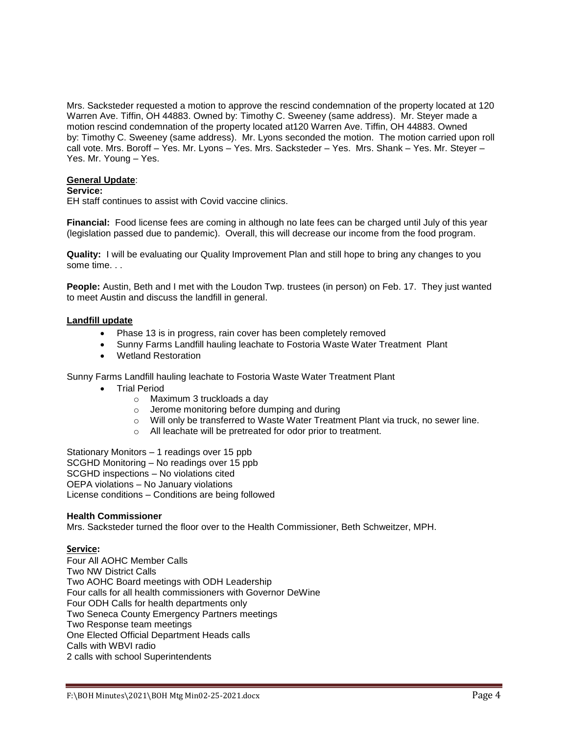Mrs. Sacksteder requested a motion to approve the rescind condemnation of the property located at 120 Warren Ave. Tiffin, OH 44883. Owned by: Timothy C. Sweeney (same address). Mr. Steyer made a motion rescind condemnation of the property located at120 Warren Ave. Tiffin, OH 44883. Owned by: Timothy C. Sweeney (same address). Mr. Lyons seconded the motion. The motion carried upon roll call vote. Mrs. Boroff – Yes. Mr. Lyons – Yes. Mrs. Sacksteder – Yes. Mrs. Shank – Yes. Mr. Steyer – Yes. Mr. Young – Yes.

### **General Update**:

#### **Service:**

EH staff continues to assist with Covid vaccine clinics.

**Financial:** Food license fees are coming in although no late fees can be charged until July of this year (legislation passed due to pandemic). Overall, this will decrease our income from the food program.

**Quality:** I will be evaluating our Quality Improvement Plan and still hope to bring any changes to you some time. . .

**People:** Austin, Beth and I met with the Loudon Twp. trustees (in person) on Feb. 17. They just wanted to meet Austin and discuss the landfill in general.

#### **Landfill update**

- Phase 13 is in progress, rain cover has been completely removed
- Sunny Farms Landfill hauling leachate to Fostoria Waste Water Treatment Plant
- Wetland Restoration

Sunny Farms Landfill hauling leachate to Fostoria Waste Water Treatment Plant

- Trial Period
	- o Maximum 3 truckloads a day
	- o Jerome monitoring before dumping and during
	- o Will only be transferred to Waste Water Treatment Plant via truck, no sewer line.
	- o All leachate will be pretreated for odor prior to treatment.

Stationary Monitors – 1 readings over 15 ppb SCGHD Monitoring – No readings over 15 ppb SCGHD inspections – No violations cited OEPA violations – No January violations License conditions – Conditions are being followed

#### **Health Commissioner**

Mrs. Sacksteder turned the floor over to the Health Commissioner, Beth Schweitzer, MPH.

### **Service:**

Four All AOHC Member Calls Two NW District Calls Two AOHC Board meetings with ODH Leadership Four calls for all health commissioners with Governor DeWine Four ODH Calls for health departments only Two Seneca County Emergency Partners meetings Two Response team meetings One Elected Official Department Heads calls Calls with WBVI radio 2 calls with school Superintendents